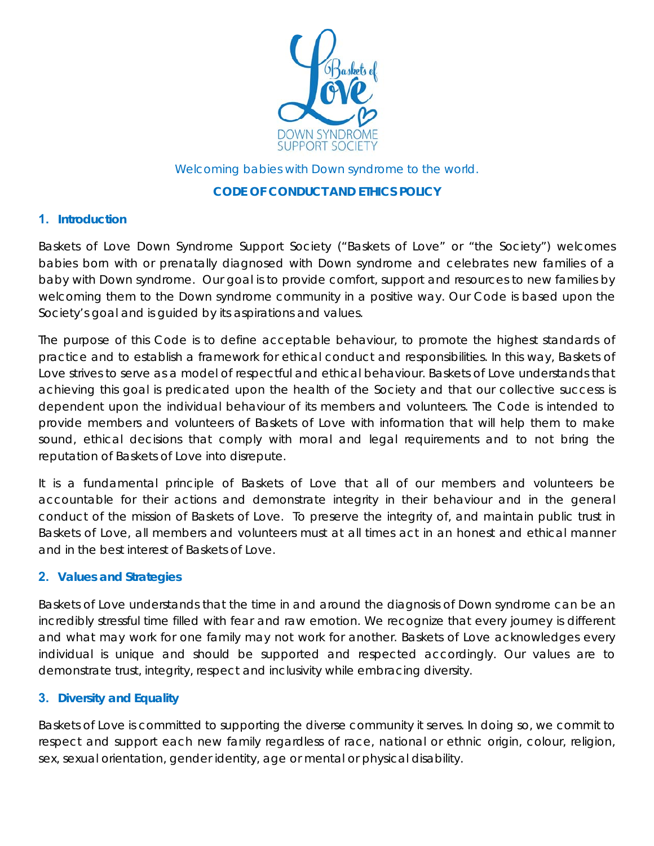

#### Welcoming babies with Down syndrome to the world.

### **CODE OF CONDUCT AND ETHICS POLICY**

## **1. Introduction**

Baskets of Love Down Syndrome Support Society ("Baskets of Love" or "the Society") welcomes babies born with or prenatally diagnosed with Down syndrome and celebrates new families of a baby with Down syndrome. Our goal is to provide comfort, support and resources to new families by welcoming them to the Down syndrome community in a positive way. Our Code is based upon the Society's goal and is guided by its aspirations and values.

The purpose of this Code is to define acceptable behaviour, to promote the highest standards of practice and to establish a framework for ethical conduct and responsibilities. In this way, Baskets of Love strives to serve as a model of respectful and ethical behaviour. Baskets of Love understands that achieving this goal is predicated upon the health of the Society and that our collective success is dependent upon the individual behaviour of its members and volunteers. The Code is intended to provide members and volunteers of Baskets of Love with information that will help them to make sound, ethical decisions that comply with moral and legal requirements and to not bring the reputation of Baskets of Love into disrepute.

It is a fundamental principle of Baskets of Love that all of our members and volunteers be accountable for their actions and demonstrate integrity in their behaviour and in the general conduct of the mission of Baskets of Love. To preserve the integrity of, and maintain public trust in Baskets of Love, all members and volunteers must at all times act in an honest and ethical manner and in the best interest of Baskets of Love.

### **2. Values and Strategies**

Baskets of Love understands that the time in and around the diagnosis of Down syndrome can be an incredibly stressful time filled with fear and raw emotion. We recognize that every journey is different and what may work for one family may not work for another. Baskets of Love acknowledges every individual is unique and should be supported and respected accordingly. Our values are to demonstrate trust, integrity, respect and inclusivity while embracing diversity.

# **3. Diversity and Equality**

Baskets of Love is committed to supporting the diverse community it serves. In doing so, we commit to respect and support each new family regardless of race, national or ethnic origin, colour, religion, sex, sexual orientation, gender identity, age or mental or physical disability.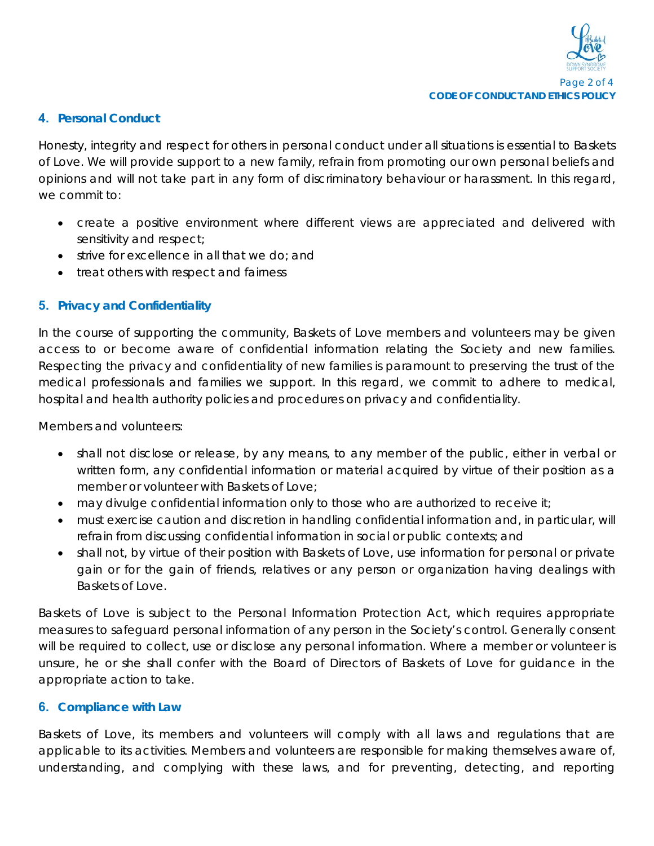#### **4. Personal Conduct**

Honesty, integrity and respect for others in personal conduct under all situations is essential to Baskets of Love. We will provide support to a new family, refrain from promoting our own personal beliefs and opinions and will not take part in any form of discriminatory behaviour or harassment. In this regard, we commit to:

- create a positive environment where different views are appreciated and delivered with sensitivity and respect;
- strive for excellence in all that we do; and
- treat others with respect and fairness

## **5. Privacy and Confidentiality**

In the course of supporting the community, Baskets of Love members and volunteers may be given access to or become aware of confidential information relating the Society and new families. Respecting the privacy and confidentiality of new families is paramount to preserving the trust of the medical professionals and families we support. In this regard, we commit to adhere to medical, hospital and health authority policies and procedures on privacy and confidentiality.

Members and volunteers:

- shall not disclose or release, by any means, to any member of the public, either in verbal or written form, any confidential information or material acquired by virtue of their position as a member or volunteer with Baskets of Love;
- may divulge confidential information only to those who are authorized to receive it;
- must exercise caution and discretion in handling confidential information and, in particular, will refrain from discussing confidential information in social or public contexts; and
- shall not, by virtue of their position with Baskets of Love, use information for personal or private gain or for the gain of friends, relatives or any person or organization having dealings with Baskets of Love.

Baskets of Love is subject to the *Personal Information Protection Act*, which requires appropriate measures to safeguard personal information of any person in the Society's control. Generally consent will be required to collect, use or disclose any personal information. Where a member or volunteer is unsure, he or she shall confer with the Board of Directors of Baskets of Love for guidance in the appropriate action to take.

### **6. Compliance with Law**

Baskets of Love, its members and volunteers will comply with all laws and regulations that are applicable to its activities. Members and volunteers are responsible for making themselves aware of, understanding, and complying with these laws, and for preventing, detecting, and reporting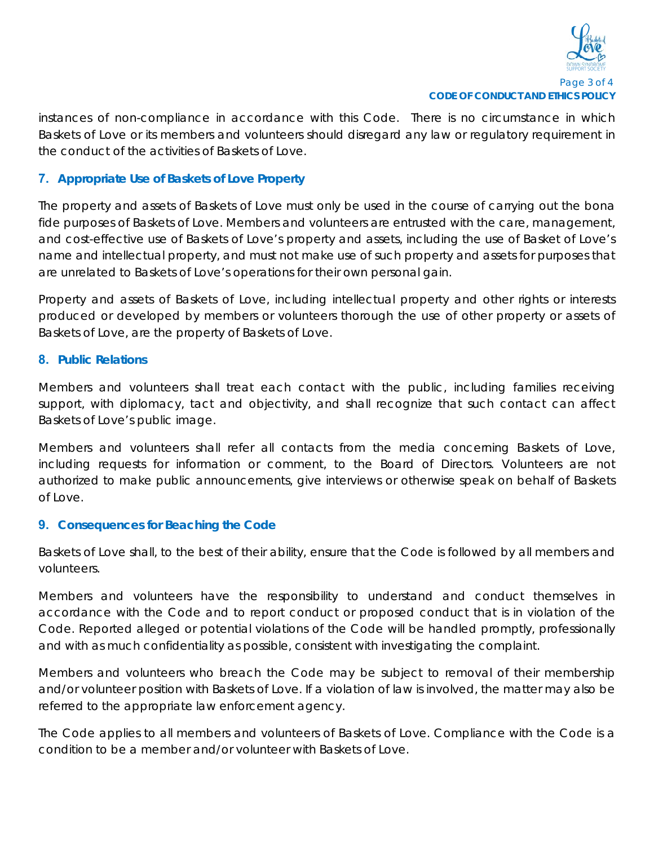

instances of non-compliance in accordance with this Code. There is no circumstance in which Baskets of Love or its members and volunteers should disregard any law or regulatory requirement in the conduct of the activities of Baskets of Love.

## **7. Appropriate Use of Baskets of Love Property**

The property and assets of Baskets of Love must only be used in the course of carrying out the bona fide purposes of Baskets of Love. Members and volunteers are entrusted with the care, management, and cost-effective use of Baskets of Love's property and assets, including the use of Basket of Love's name and intellectual property, and must not make use of such property and assets for purposes that are unrelated to Baskets of Love's operations for their own personal gain.

Property and assets of Baskets of Love, including intellectual property and other rights or interests produced or developed by members or volunteers thorough the use of other property or assets of Baskets of Love, are the property of Baskets of Love.

#### **8. Public Relations**

Members and volunteers shall treat each contact with the public, including families receiving support, with diplomacy, tact and objectivity, and shall recognize that such contact can affect Baskets of Love's public image.

Members and volunteers shall refer all contacts from the media concerning Baskets of Love, including requests for information or comment, to the Board of Directors. Volunteers are not authorized to make public announcements, give interviews or otherwise speak on behalf of Baskets of Love.

### **9. Consequences for Beaching the Code**

Baskets of Love shall, to the best of their ability, ensure that the Code is followed by all members and volunteers.

Members and volunteers have the responsibility to understand and conduct themselves in accordance with the Code and to report conduct or proposed conduct that is in violation of the Code. Reported alleged or potential violations of the Code will be handled promptly, professionally and with as much confidentiality as possible, consistent with investigating the complaint.

Members and volunteers who breach the Code may be subject to removal of their membership and/or volunteer position with Baskets of Love. If a violation of law is involved, the matter may also be referred to the appropriate law enforcement agency.

The Code applies to all members and volunteers of Baskets of Love. Compliance with the Code is a condition to be a member and/or volunteer with Baskets of Love.